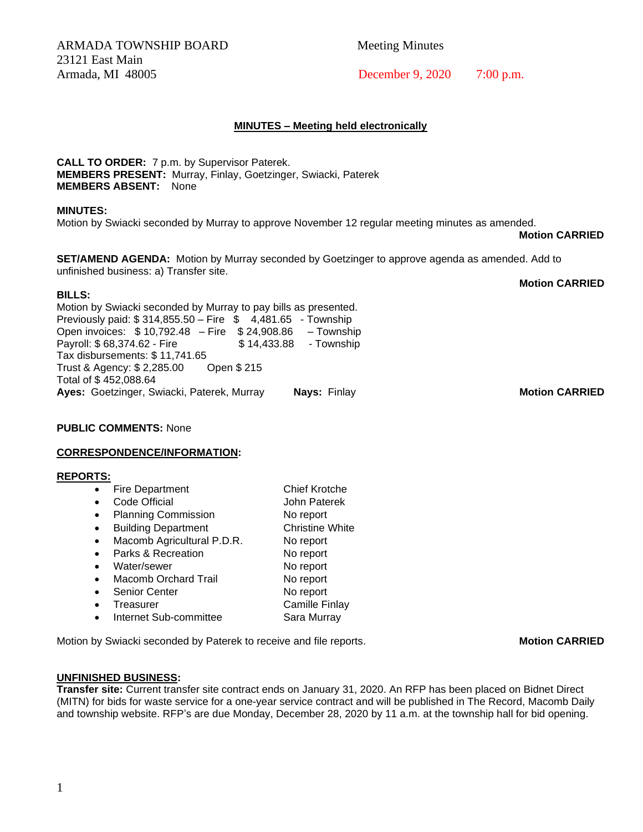ARMADA TOWNSHIP BOARD Meeting Minutes 23121 East Main Armada, MI 48005 December 9, 2020 7:00 p.m.

# **MINUTES – Meeting held electronically**

**CALL TO ORDER:** 7 p.m. by Supervisor Paterek. **MEMBERS PRESENT:** Murray, Finlay, Goetzinger, Swiacki, Paterek **MEMBERS ABSENT:** None

### **MINUTES:**

Motion by Swiacki seconded by Murray to approve November 12 regular meeting minutes as amended.

**Motion CARRIED**

**Motion CARRIED**

**SET/AMEND AGENDA:** Motion by Murray seconded by Goetzinger to approve agenda as amended. Add to unfinished business: a) Transfer site.

### **BILLS:**

Motion by Swiacki seconded by Murray to pay bills as presented. Previously paid: \$ 314,855.50 – Fire \$ 4,481.65 - Township Open invoices: \$ 10,792.48 – Fire \$ 24,908.86 – Township Payroll: \$68,374.62 - Fire \$14,433.88 - Township Tax disbursements: \$ 11,741.65 Trust & Agency: \$ 2,285.00 Open \$ 215 Total of \$ 452,088.64 **Ayes:** Goetzinger, Swiacki, Paterek, Murray **Nays:** Finlay **Motion CARRIED**

### **PUBLIC COMMENTS:** None

### **CORRESPONDENCE/INFORMATION:**

### **REPORTS:**

|           | <b>Fire Department</b>                                                                                | <b>Chief Krotche</b>   |
|-----------|-------------------------------------------------------------------------------------------------------|------------------------|
|           | Code Official                                                                                         | John Paterek           |
|           | <b>Planning Commission</b>                                                                            | No report              |
|           | <b>Building Department</b>                                                                            | <b>Christine White</b> |
| $\bullet$ | Macomb Agricultural P.D.R.                                                                            | No report              |
|           | Parks & Recreation                                                                                    | No report              |
|           | Water/sewer                                                                                           | No report              |
| $\bullet$ | <b>Macomb Orchard Trail</b>                                                                           | No report              |
|           | <b>Senior Center</b>                                                                                  | No report              |
|           | Treasurer                                                                                             | <b>Camille Finlay</b>  |
|           | $\mathbf{L}$ and $\mathbf{L}$ and $\mathbf{L}$ and $\mathbf{L}$ are solved in the set of $\mathbf{L}$ | $O = 1$                |

Internet Sub-committee **Sara Murray** 

Motion by Swiacki seconded by Paterek to receive and file reports. **Motion CARRIED** 

### **UNFINISHED BUSINESS:**

**Transfer site:** Current transfer site contract ends on January 31, 2020. An RFP has been placed on Bidnet Direct (MITN) for bids for waste service for a one-year service contract and will be published in The Record, Macomb Daily and township website. RFP's are due Monday, December 28, 2020 by 11 a.m. at the township hall for bid opening.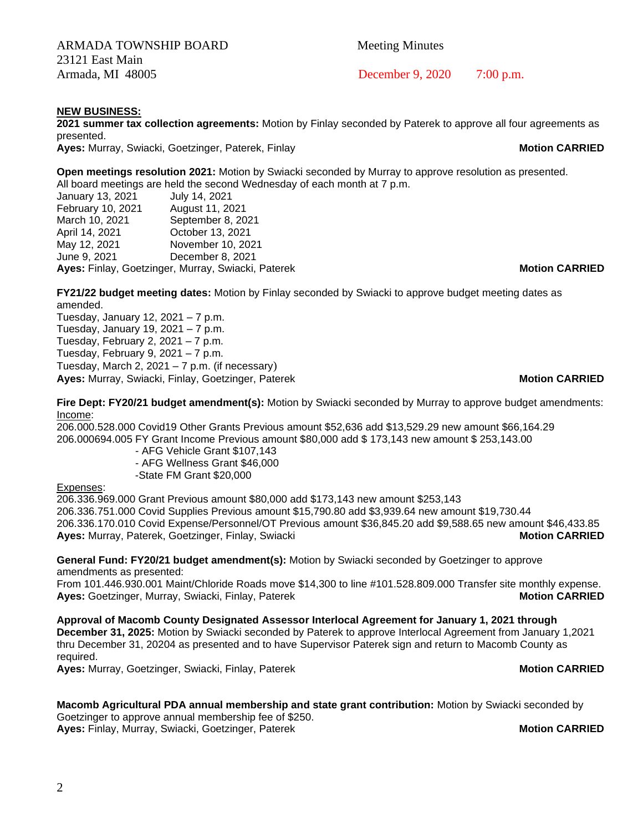ARMADA TOWNSHIP BOARD Meeting Minutes 23121 East Main

**NEW BUSINESS:**

**2021 summer tax collection agreements:** Motion by Finlay seconded by Paterek to approve all four agreements as presented.

**Ayes:** Murray, Swiacki, Goetzinger, Paterek, Finlay **Music Communist CARRIED Motion CARRIED** 

**Open meetings resolution 2021:** Motion by Swiacki seconded by Murray to approve resolution as presented. All board meetings are held the second Wednesday of each month at 7 p.m.

| Ayes: Finlay, Goetzinger, Murray, Swiacki, Paterek | <b>Motion CARRIED</b> |  |
|----------------------------------------------------|-----------------------|--|
| June 9, 2021                                       | December 8, 2021      |  |
| May 12, 2021                                       | November 10, 2021     |  |
| April 14, 2021                                     | October 13, 2021      |  |
| March 10, 2021                                     | September 8, 2021     |  |
| February 10, 2021                                  | August 11, 2021       |  |
| January 13, 2021                                   | July 14, 2021         |  |

**FY21/22 budget meeting dates:** Motion by Finlay seconded by Swiacki to approve budget meeting dates as amended.

Tuesday, January 12, 2021 – 7 p.m. Tuesday, January 19, 2021 – 7 p.m. Tuesday, February 2, 2021 – 7 p.m. Tuesday, February 9, 2021 – 7 p.m. Tuesday, March 2, 2021 – 7 p.m. (if necessary) **Ayes:** Murray, Swiacki, Finlay, Goetzinger, Paterek **Music Communist CARRIED Motion CARRIED** 

**Fire Dept: FY20/21 budget amendment(s):** Motion by Swiacki seconded by Murray to approve budget amendments: Income:

206.000.528.000 Covid19 Other Grants Previous amount \$52,636 add \$13,529.29 new amount \$66,164.29 206.000694.005 FY Grant Income Previous amount \$80,000 add \$ 173,143 new amount \$ 253,143.00

- AFG Vehicle Grant \$107,143

 - AFG Wellness Grant \$46,000 -State FM Grant \$20,000

### Expenses:

206.336.969.000 Grant Previous amount \$80,000 add \$173,143 new amount \$253,143 206.336.751.000 Covid Supplies Previous amount \$15,790.80 add \$3,939.64 new amount \$19,730.44 206.336.170.010 Covid Expense/Personnel/OT Previous amount \$36,845.20 add \$9,588.65 new amount \$46,433.85 **Ayes:** Murray, Paterek, Goetzinger, Finlay, Swiacki **Music Communist CARRIED Motion CARRIED** 

### **General Fund: FY20/21 budget amendment(s):** Motion by Swiacki seconded by Goetzinger to approve amendments as presented:

From 101.446.930.001 Maint/Chloride Roads move \$14,300 to line #101.528.809.000 Transfer site monthly expense. **Ayes:** Goetzinger, Murray, Swiacki, Finlay, Paterek **Music Communist CARRIED Motion CARRIED** 

**Approval of Macomb County Designated Assessor Interlocal Agreement for January 1, 2021 through December 31, 2025:** Motion by Swiacki seconded by Paterek to approve Interlocal Agreement from January 1,2021 thru December 31, 20204 as presented and to have Supervisor Paterek sign and return to Macomb County as required.

**Ayes:** Murray, Goetzinger, Swiacki, Finlay, Paterek **Music Communist CARRIED Motion CARRIED** 

# **Macomb Agricultural PDA annual membership and state grant contribution:** Motion by Swiacki seconded by

Goetzinger to approve annual membership fee of \$250. **Ayes:** Finlay, Murray, Swiacki, Goetzinger, Paterek **Motion CARRIED Motion CARRIED** 

Armada, MI 48005 **December 9, 2020** 7:00 p.m.